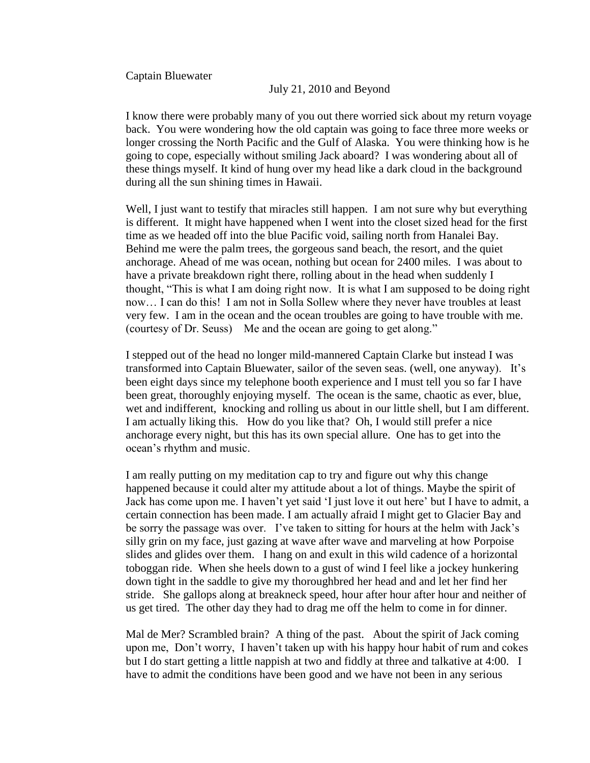Captain Bluewater

## July 21, 2010 and Beyond

I know there were probably many of you out there worried sick about my return voyage back. You were wondering how the old captain was going to face three more weeks or longer crossing the North Pacific and the Gulf of Alaska. You were thinking how is he going to cope, especially without smiling Jack aboard? I was wondering about all of these things myself. It kind of hung over my head like a dark cloud in the background during all the sun shining times in Hawaii.

Well, I just want to testify that miracles still happen. I am not sure why but everything is different. It might have happened when I went into the closet sized head for the first time as we headed off into the blue Pacific void, sailing north from Hanalei Bay. Behind me were the palm trees, the gorgeous sand beach, the resort, and the quiet anchorage. Ahead of me was ocean, nothing but ocean for 2400 miles. I was about to have a private breakdown right there, rolling about in the head when suddenly I thought, "This is what I am doing right now. It is what I am supposed to be doing right now… I can do this! I am not in Solla Sollew where they never have troubles at least very few. I am in the ocean and the ocean troubles are going to have trouble with me. (courtesy of Dr. Seuss) Me and the ocean are going to get along."

I stepped out of the head no longer mild-mannered Captain Clarke but instead I was transformed into Captain Bluewater, sailor of the seven seas. (well, one anyway). It"s been eight days since my telephone booth experience and I must tell you so far I have been great, thoroughly enjoying myself. The ocean is the same, chaotic as ever, blue, wet and indifferent, knocking and rolling us about in our little shell, but I am different. I am actually liking this. How do you like that? Oh, I would still prefer a nice anchorage every night, but this has its own special allure. One has to get into the ocean"s rhythm and music.

I am really putting on my meditation cap to try and figure out why this change happened because it could alter my attitude about a lot of things. Maybe the spirit of Jack has come upon me. I haven"t yet said "I just love it out here" but I have to admit, a certain connection has been made. I am actually afraid I might get to Glacier Bay and be sorry the passage was over. I've taken to sitting for hours at the helm with Jack's silly grin on my face, just gazing at wave after wave and marveling at how Porpoise slides and glides over them. I hang on and exult in this wild cadence of a horizontal toboggan ride. When she heels down to a gust of wind I feel like a jockey hunkering down tight in the saddle to give my thoroughbred her head and and let her find her stride. She gallops along at breakneck speed, hour after hour after hour and neither of us get tired. The other day they had to drag me off the helm to come in for dinner.

Mal de Mer? Scrambled brain? A thing of the past. About the spirit of Jack coming upon me, Don"t worry, I haven"t taken up with his happy hour habit of rum and cokes but I do start getting a little nappish at two and fiddly at three and talkative at 4:00. I have to admit the conditions have been good and we have not been in any serious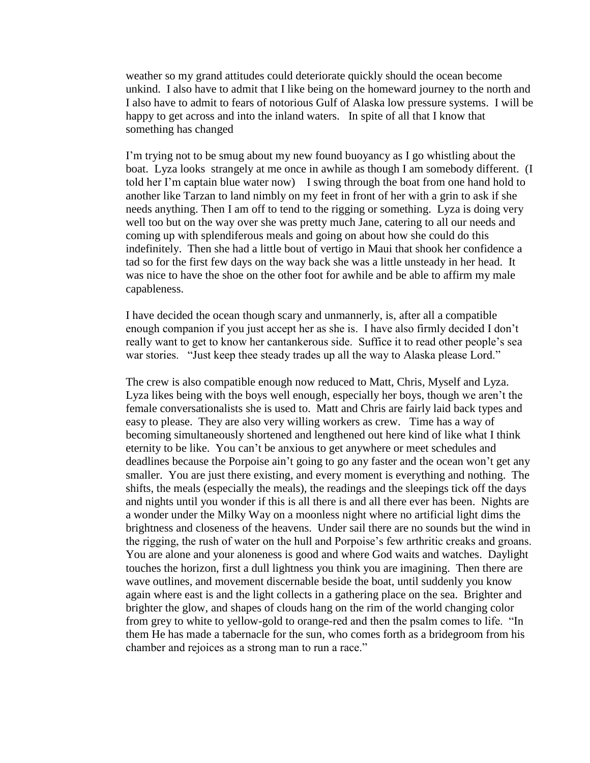weather so my grand attitudes could deteriorate quickly should the ocean become unkind. I also have to admit that I like being on the homeward journey to the north and I also have to admit to fears of notorious Gulf of Alaska low pressure systems. I will be happy to get across and into the inland waters. In spite of all that I know that something has changed

I"m trying not to be smug about my new found buoyancy as I go whistling about the boat. Lyza looks strangely at me once in awhile as though I am somebody different. (I told her I"m captain blue water now) I swing through the boat from one hand hold to another like Tarzan to land nimbly on my feet in front of her with a grin to ask if she needs anything. Then I am off to tend to the rigging or something. Lyza is doing very well too but on the way over she was pretty much Jane, catering to all our needs and coming up with splendiferous meals and going on about how she could do this indefinitely. Then she had a little bout of vertigo in Maui that shook her confidence a tad so for the first few days on the way back she was a little unsteady in her head. It was nice to have the shoe on the other foot for awhile and be able to affirm my male capableness.

I have decided the ocean though scary and unmannerly, is, after all a compatible enough companion if you just accept her as she is. I have also firmly decided I don"t really want to get to know her cantankerous side. Suffice it to read other people"s sea war stories. "Just keep thee steady trades up all the way to Alaska please Lord."

The crew is also compatible enough now reduced to Matt, Chris, Myself and Lyza. Lyza likes being with the boys well enough, especially her boys, though we aren't the female conversationalists she is used to. Matt and Chris are fairly laid back types and easy to please. They are also very willing workers as crew. Time has a way of becoming simultaneously shortened and lengthened out here kind of like what I think eternity to be like. You can"t be anxious to get anywhere or meet schedules and deadlines because the Porpoise ain't going to go any faster and the ocean won't get any smaller. You are just there existing, and every moment is everything and nothing. The shifts, the meals (especially the meals), the readings and the sleepings tick off the days and nights until you wonder if this is all there is and all there ever has been. Nights are a wonder under the Milky Way on a moonless night where no artificial light dims the brightness and closeness of the heavens. Under sail there are no sounds but the wind in the rigging, the rush of water on the hull and Porpoise"s few arthritic creaks and groans. You are alone and your aloneness is good and where God waits and watches. Daylight touches the horizon, first a dull lightness you think you are imagining. Then there are wave outlines, and movement discernable beside the boat, until suddenly you know again where east is and the light collects in a gathering place on the sea. Brighter and brighter the glow, and shapes of clouds hang on the rim of the world changing color from grey to white to yellow-gold to orange-red and then the psalm comes to life. "In them He has made a tabernacle for the sun, who comes forth as a bridegroom from his chamber and rejoices as a strong man to run a race."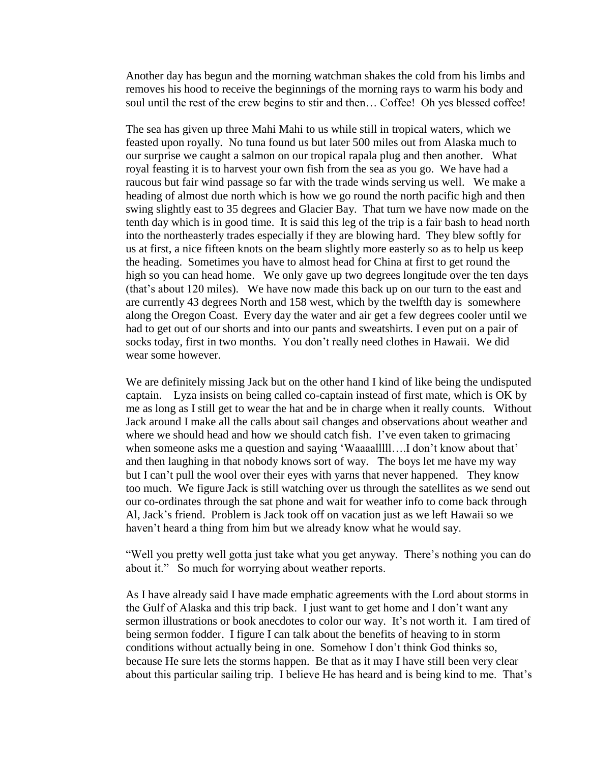Another day has begun and the morning watchman shakes the cold from his limbs and removes his hood to receive the beginnings of the morning rays to warm his body and soul until the rest of the crew begins to stir and then… Coffee! Oh yes blessed coffee!

The sea has given up three Mahi Mahi to us while still in tropical waters, which we feasted upon royally. No tuna found us but later 500 miles out from Alaska much to our surprise we caught a salmon on our tropical rapala plug and then another. What royal feasting it is to harvest your own fish from the sea as you go. We have had a raucous but fair wind passage so far with the trade winds serving us well. We make a heading of almost due north which is how we go round the north pacific high and then swing slightly east to 35 degrees and Glacier Bay. That turn we have now made on the tenth day which is in good time. It is said this leg of the trip is a fair bash to head north into the northeasterly trades especially if they are blowing hard. They blew softly for us at first, a nice fifteen knots on the beam slightly more easterly so as to help us keep the heading. Sometimes you have to almost head for China at first to get round the high so you can head home. We only gave up two degrees longitude over the ten days (that"s about 120 miles). We have now made this back up on our turn to the east and are currently 43 degrees North and 158 west, which by the twelfth day is somewhere along the Oregon Coast. Every day the water and air get a few degrees cooler until we had to get out of our shorts and into our pants and sweatshirts. I even put on a pair of socks today, first in two months. You don"t really need clothes in Hawaii. We did wear some however.

We are definitely missing Jack but on the other hand I kind of like being the undisputed captain. Lyza insists on being called co-captain instead of first mate, which is OK by me as long as I still get to wear the hat and be in charge when it really counts. Without Jack around I make all the calls about sail changes and observations about weather and where we should head and how we should catch fish. I've even taken to grimacing when someone asks me a question and saying 'Waaaalllll....I don't know about that' and then laughing in that nobody knows sort of way. The boys let me have my way but I can"t pull the wool over their eyes with yarns that never happened. They know too much. We figure Jack is still watching over us through the satellites as we send out our co-ordinates through the sat phone and wait for weather info to come back through Al, Jack"s friend. Problem is Jack took off on vacation just as we left Hawaii so we haven't heard a thing from him but we already know what he would say.

"Well you pretty well gotta just take what you get anyway. There"s nothing you can do about it." So much for worrying about weather reports.

As I have already said I have made emphatic agreements with the Lord about storms in the Gulf of Alaska and this trip back. I just want to get home and I don"t want any sermon illustrations or book anecdotes to color our way. It's not worth it. I am tired of being sermon fodder. I figure I can talk about the benefits of heaving to in storm conditions without actually being in one. Somehow I don"t think God thinks so, because He sure lets the storms happen. Be that as it may I have still been very clear about this particular sailing trip. I believe He has heard and is being kind to me. That"s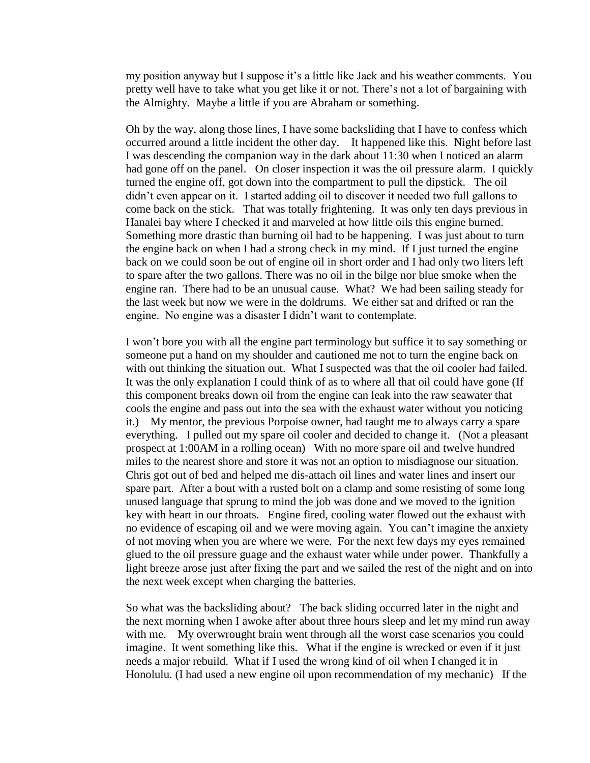my position anyway but I suppose it's a little like Jack and his weather comments. You pretty well have to take what you get like it or not. There"s not a lot of bargaining with the Almighty. Maybe a little if you are Abraham or something.

Oh by the way, along those lines, I have some backsliding that I have to confess which occurred around a little incident the other day. It happened like this. Night before last I was descending the companion way in the dark about 11:30 when I noticed an alarm had gone off on the panel. On closer inspection it was the oil pressure alarm. I quickly turned the engine off, got down into the compartment to pull the dipstick. The oil didn"t even appear on it. I started adding oil to discover it needed two full gallons to come back on the stick. That was totally frightening. It was only ten days previous in Hanalei bay where I checked it and marveled at how little oils this engine burned. Something more drastic than burning oil had to be happening. I was just about to turn the engine back on when I had a strong check in my mind. If I just turned the engine back on we could soon be out of engine oil in short order and I had only two liters left to spare after the two gallons. There was no oil in the bilge nor blue smoke when the engine ran. There had to be an unusual cause. What? We had been sailing steady for the last week but now we were in the doldrums. We either sat and drifted or ran the engine. No engine was a disaster I didn"t want to contemplate.

I won"t bore you with all the engine part terminology but suffice it to say something or someone put a hand on my shoulder and cautioned me not to turn the engine back on with out thinking the situation out. What I suspected was that the oil cooler had failed. It was the only explanation I could think of as to where all that oil could have gone (If this component breaks down oil from the engine can leak into the raw seawater that cools the engine and pass out into the sea with the exhaust water without you noticing it.) My mentor, the previous Porpoise owner, had taught me to always carry a spare everything. I pulled out my spare oil cooler and decided to change it. (Not a pleasant prospect at 1:00AM in a rolling ocean) With no more spare oil and twelve hundred miles to the nearest shore and store it was not an option to misdiagnose our situation. Chris got out of bed and helped me dis-attach oil lines and water lines and insert our spare part. After a bout with a rusted bolt on a clamp and some resisting of some long unused language that sprung to mind the job was done and we moved to the ignition key with heart in our throats. Engine fired, cooling water flowed out the exhaust with no evidence of escaping oil and we were moving again. You can"t imagine the anxiety of not moving when you are where we were. For the next few days my eyes remained glued to the oil pressure guage and the exhaust water while under power. Thankfully a light breeze arose just after fixing the part and we sailed the rest of the night and on into the next week except when charging the batteries.

So what was the backsliding about? The back sliding occurred later in the night and the next morning when I awoke after about three hours sleep and let my mind run away with me. My overwrought brain went through all the worst case scenarios you could imagine. It went something like this. What if the engine is wrecked or even if it just needs a major rebuild. What if I used the wrong kind of oil when I changed it in Honolulu. (I had used a new engine oil upon recommendation of my mechanic) If the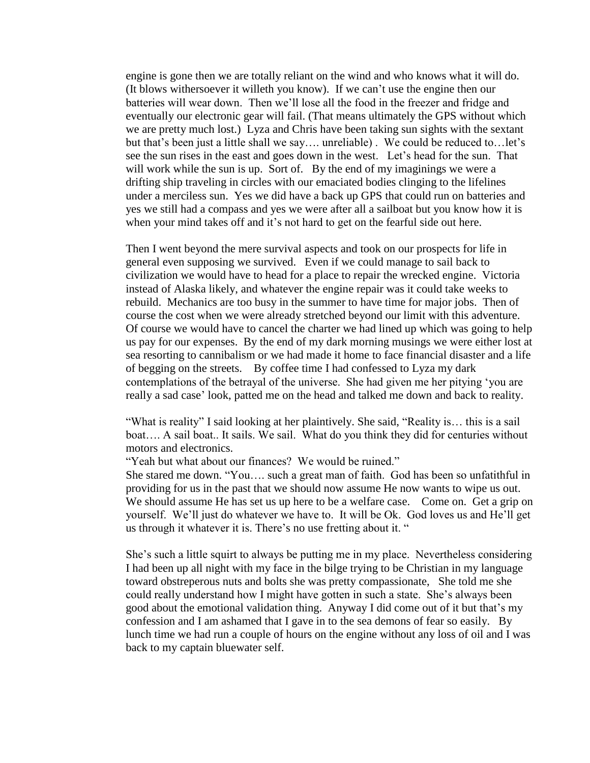engine is gone then we are totally reliant on the wind and who knows what it will do. (It blows withersoever it willeth you know). If we can"t use the engine then our batteries will wear down. Then we"ll lose all the food in the freezer and fridge and eventually our electronic gear will fail. (That means ultimately the GPS without which we are pretty much lost.) Lyza and Chris have been taking sun sights with the sextant but that's been just a little shall we say.... unreliable). We could be reduced to... let's see the sun rises in the east and goes down in the west. Let"s head for the sun. That will work while the sun is up. Sort of. By the end of my imaginings we were a drifting ship traveling in circles with our emaciated bodies clinging to the lifelines under a merciless sun. Yes we did have a back up GPS that could run on batteries and yes we still had a compass and yes we were after all a sailboat but you know how it is when your mind takes off and it's not hard to get on the fearful side out here.

Then I went beyond the mere survival aspects and took on our prospects for life in general even supposing we survived. Even if we could manage to sail back to civilization we would have to head for a place to repair the wrecked engine. Victoria instead of Alaska likely, and whatever the engine repair was it could take weeks to rebuild. Mechanics are too busy in the summer to have time for major jobs. Then of course the cost when we were already stretched beyond our limit with this adventure. Of course we would have to cancel the charter we had lined up which was going to help us pay for our expenses. By the end of my dark morning musings we were either lost at sea resorting to cannibalism or we had made it home to face financial disaster and a life of begging on the streets. By coffee time I had confessed to Lyza my dark contemplations of the betrayal of the universe. She had given me her pitying "you are really a sad case' look, patted me on the head and talked me down and back to reality.

"What is reality" I said looking at her plaintively. She said, "Reality is… this is a sail boat.... A sail boat.. It sails. We sail. What do you think they did for centuries without motors and electronics.

"Yeah but what about our finances? We would be ruined."

She stared me down. "You…. such a great man of faith. God has been so unfatithful in providing for us in the past that we should now assume He now wants to wipe us out. We should assume He has set us up here to be a welfare case. Come on. Get a grip on yourself. We"ll just do whatever we have to. It will be Ok. God loves us and He"ll get us through it whatever it is. There"s no use fretting about it. "

She's such a little squirt to always be putting me in my place. Nevertheless considering I had been up all night with my face in the bilge trying to be Christian in my language toward obstreperous nuts and bolts she was pretty compassionate, She told me she could really understand how I might have gotten in such a state. She"s always been good about the emotional validation thing. Anyway I did come out of it but that"s my confession and I am ashamed that I gave in to the sea demons of fear so easily. By lunch time we had run a couple of hours on the engine without any loss of oil and I was back to my captain bluewater self.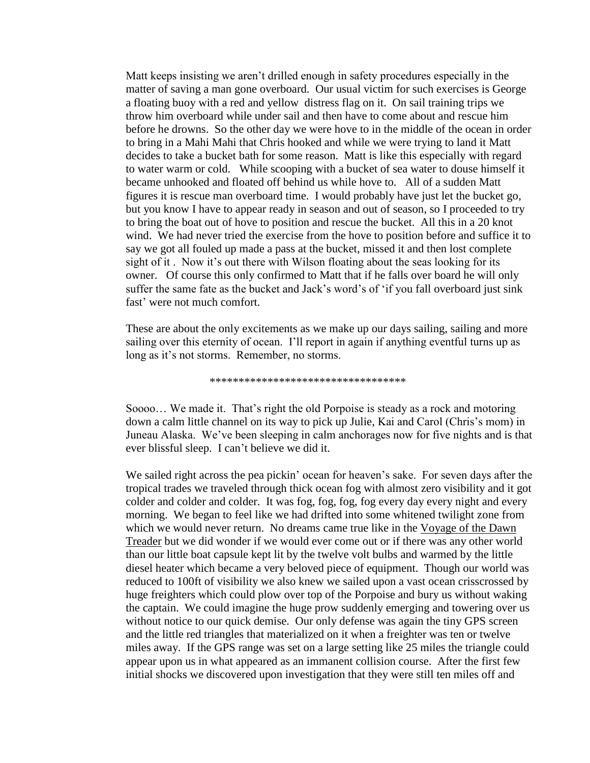Matt keeps insisting we aren"t drilled enough in safety procedures especially in the matter of saving a man gone overboard. Our usual victim for such exercises is George a floating buoy with a red and yellow distress flag on it. On sail training trips we throw him overboard while under sail and then have to come about and rescue him before he drowns. So the other day we were hove to in the middle of the ocean in order to bring in a Mahi Mahi that Chris hooked and while we were trying to land it Matt decides to take a bucket bath for some reason. Matt is like this especially with regard to water warm or cold. While scooping with a bucket of sea water to douse himself it became unhooked and floated off behind us while hove to. All of a sudden Matt figures it is rescue man overboard time. I would probably have just let the bucket go, but you know I have to appear ready in season and out of season, so I proceeded to try to bring the boat out of hove to position and rescue the bucket. All this in a 20 knot wind. We had never tried the exercise from the hove to position before and suffice it to say we got all fouled up made a pass at the bucket, missed it and then lost complete sight of it. Now it's out there with Wilson floating about the seas looking for its owner. Of course this only confirmed to Matt that if he falls over board he will only suffer the same fate as the bucket and Jack's word's of 'if you fall overboard just sink fast' were not much comfort.

These are about the only excitements as we make up our days sailing, sailing and more sailing over this eternity of ocean. I"ll report in again if anything eventful turns up as long as it's not storms. Remember, no storms.

## \*\*\*\*\*\*\*\*\*\*\*\*\*\*\*\*\*\*\*\*\*\*\*\*\*\*\*\*\*\*\*\*\*\*

Soooo... We made it. That's right the old Porpoise is steady as a rock and motoring down a calm little channel on its way to pick up Julie, Kai and Carol (Chris"s mom) in Juneau Alaska. We've been sleeping in calm anchorages now for five nights and is that ever blissful sleep. I can"t believe we did it.

We sailed right across the pea pickin' ocean for heaven's sake. For seven days after the tropical trades we traveled through thick ocean fog with almost zero visibility and it got colder and colder and colder. It was fog, fog, fog, fog every day every night and every morning. We began to feel like we had drifted into some whitened twilight zone from which we would never return. No dreams came true like in the Voyage of the Dawn Treader but we did wonder if we would ever come out or if there was any other world than our little boat capsule kept lit by the twelve volt bulbs and warmed by the little diesel heater which became a very beloved piece of equipment. Though our world was reduced to 100ft of visibility we also knew we sailed upon a vast ocean crisscrossed by huge freighters which could plow over top of the Porpoise and bury us without waking the captain. We could imagine the huge prow suddenly emerging and towering over us without notice to our quick demise. Our only defense was again the tiny GPS screen and the little red triangles that materialized on it when a freighter was ten or twelve miles away. If the GPS range was set on a large setting like 25 miles the triangle could appear upon us in what appeared as an immanent collision course. After the first few initial shocks we discovered upon investigation that they were still ten miles off and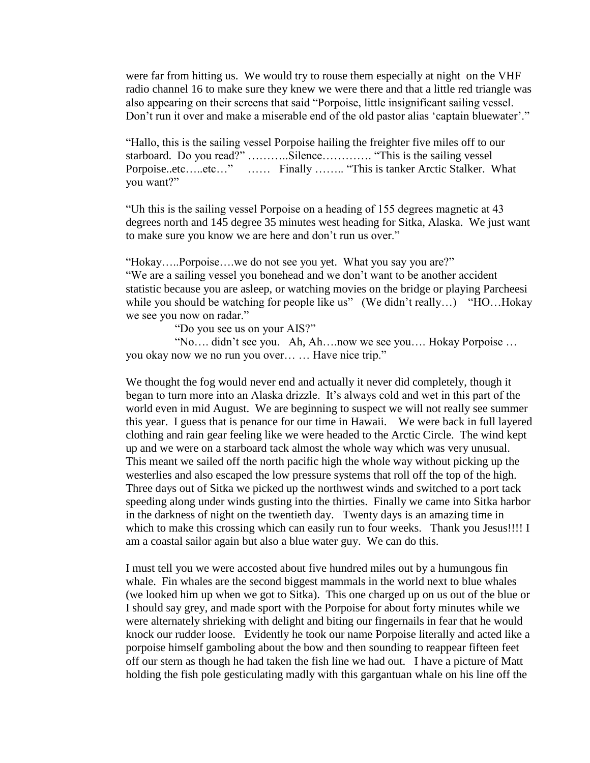were far from hitting us. We would try to rouse them especially at night on the VHF radio channel 16 to make sure they knew we were there and that a little red triangle was also appearing on their screens that said "Porpoise, little insignificant sailing vessel. Don't run it over and make a miserable end of the old pastor alias 'captain bluewater'."

"Hallo, this is the sailing vessel Porpoise hailing the freighter five miles off to our starboard. Do you read?" ...........Silence.............. "This is the sailing vessel Porpoise..etc…..etc…" …… Finally …….. "This is tanker Arctic Stalker. What you want?"

"Uh this is the sailing vessel Porpoise on a heading of 155 degrees magnetic at 43 degrees north and 145 degree 35 minutes west heading for Sitka, Alaska. We just want to make sure you know we are here and don"t run us over."

"Hokay…..Porpoise….we do not see you yet. What you say you are?" "We are a sailing vessel you bonehead and we don"t want to be another accident statistic because you are asleep, or watching movies on the bridge or playing Parcheesi while you should be watching for people like us" (We didn't really...) "HO...Hokay" we see you now on radar."

"Do you see us on your AIS?"

 "No…. didn"t see you. Ah, Ah….now we see you…. Hokay Porpoise … you okay now we no run you over… … Have nice trip."

We thought the fog would never end and actually it never did completely, though it began to turn more into an Alaska drizzle. It's always cold and wet in this part of the world even in mid August. We are beginning to suspect we will not really see summer this year. I guess that is penance for our time in Hawaii. We were back in full layered clothing and rain gear feeling like we were headed to the Arctic Circle. The wind kept up and we were on a starboard tack almost the whole way which was very unusual. This meant we sailed off the north pacific high the whole way without picking up the westerlies and also escaped the low pressure systems that roll off the top of the high. Three days out of Sitka we picked up the northwest winds and switched to a port tack speeding along under winds gusting into the thirties. Finally we came into Sitka harbor in the darkness of night on the twentieth day. Twenty days is an amazing time in which to make this crossing which can easily run to four weeks. Thank you Jesus!!!! I am a coastal sailor again but also a blue water guy. We can do this.

I must tell you we were accosted about five hundred miles out by a humungous fin whale. Fin whales are the second biggest mammals in the world next to blue whales (we looked him up when we got to Sitka). This one charged up on us out of the blue or I should say grey, and made sport with the Porpoise for about forty minutes while we were alternately shrieking with delight and biting our fingernails in fear that he would knock our rudder loose. Evidently he took our name Porpoise literally and acted like a porpoise himself gamboling about the bow and then sounding to reappear fifteen feet off our stern as though he had taken the fish line we had out. I have a picture of Matt holding the fish pole gesticulating madly with this gargantuan whale on his line off the